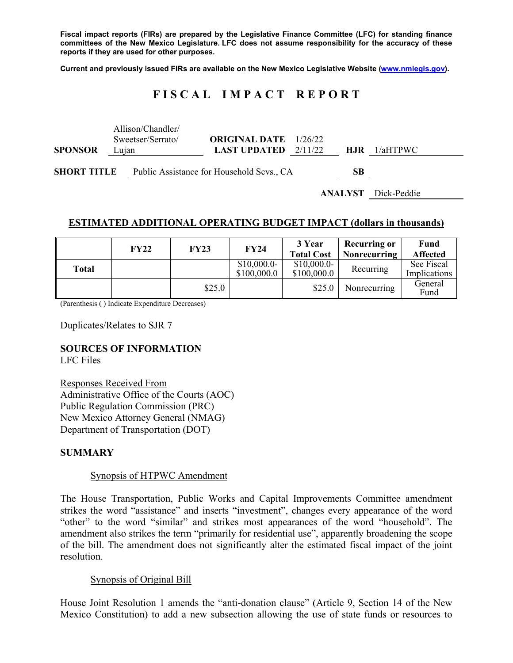**Fiscal impact reports (FIRs) are prepared by the Legislative Finance Committee (LFC) for standing finance committees of the New Mexico Legislature. LFC does not assume responsibility for the accuracy of these reports if they are used for other purposes.** 

**Current and previously issued FIRs are available on the New Mexico Legislative Website (www.nmlegis.gov).** 

# **F I S C A L I M P A C T R E P O R T**

| <b>SPONSOR</b>     | Lujan | Allison/Chandler/<br>Sweetser/Serrato/    | <b>ORIGINAL DATE</b> 1/26/22<br><b>LAST UPDATED</b> $2/11/22$ |  | <b>HJR</b> | $1/a$ HTPWC |
|--------------------|-------|-------------------------------------------|---------------------------------------------------------------|--|------------|-------------|
| <b>SHORT TITLE</b> |       | Public Assistance for Household Scvs., CA |                                                               |  | SВ         |             |

**ANALYST** Dick-Peddie

### **ESTIMATED ADDITIONAL OPERATING BUDGET IMPACT (dollars in thousands)**

|       | <b>FY22</b> | <b>FY23</b> | <b>FY24</b>                 | 3 Year<br><b>Total Cost</b> | <b>Recurring or</b><br><b>Nonrecurring</b> | Fund<br><b>Affected</b>    |
|-------|-------------|-------------|-----------------------------|-----------------------------|--------------------------------------------|----------------------------|
| Total |             |             | $$10,000.0-$<br>\$100,000.0 | $$10,000.0-$<br>\$100,000.0 | Recurring                                  | See Fiscal<br>Implications |
|       |             | \$25.0      |                             | \$25.0                      | Nonrecurring                               | General<br>Fund            |

(Parenthesis ( ) Indicate Expenditure Decreases)

Duplicates/Relates to SJR 7

# **SOURCES OF INFORMATION**

LFC Files

Responses Received From Administrative Office of the Courts (AOC) Public Regulation Commission (PRC) New Mexico Attorney General (NMAG) Department of Transportation (DOT)

#### **SUMMARY**

#### Synopsis of HTPWC Amendment

The House Transportation, Public Works and Capital Improvements Committee amendment strikes the word "assistance" and inserts "investment", changes every appearance of the word "other" to the word "similar" and strikes most appearances of the word "household". The amendment also strikes the term "primarily for residential use", apparently broadening the scope of the bill. The amendment does not significantly alter the estimated fiscal impact of the joint resolution.

#### Synopsis of Original Bill

House Joint Resolution 1 amends the "anti-donation clause" (Article 9, Section 14 of the New Mexico Constitution) to add a new subsection allowing the use of state funds or resources to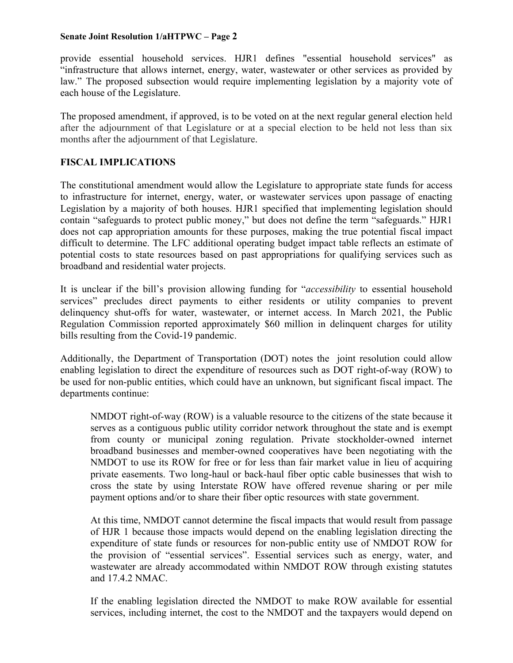#### **Senate Joint Resolution 1/aHTPWC – Page 2**

provide essential household services. HJR1 defines "essential household services" as "infrastructure that allows internet, energy, water, wastewater or other services as provided by law." The proposed subsection would require implementing legislation by a majority vote of each house of the Legislature.

The proposed amendment, if approved, is to be voted on at the next regular general election held after the adjournment of that Legislature or at a special election to be held not less than six months after the adjournment of that Legislature.

# **FISCAL IMPLICATIONS**

The constitutional amendment would allow the Legislature to appropriate state funds for access to infrastructure for internet, energy, water, or wastewater services upon passage of enacting Legislation by a majority of both houses. HJR1 specified that implementing legislation should contain "safeguards to protect public money," but does not define the term "safeguards." HJR1 does not cap appropriation amounts for these purposes, making the true potential fiscal impact difficult to determine. The LFC additional operating budget impact table reflects an estimate of potential costs to state resources based on past appropriations for qualifying services such as broadband and residential water projects.

It is unclear if the bill's provision allowing funding for "*accessibility* to essential household services" precludes direct payments to either residents or utility companies to prevent delinquency shut-offs for water, wastewater, or internet access. In March 2021, the Public Regulation Commission reported approximately \$60 million in delinquent charges for utility bills resulting from the Covid-19 pandemic.

Additionally, the Department of Transportation (DOT) notes the joint resolution could allow enabling legislation to direct the expenditure of resources such as DOT right-of-way (ROW) to be used for non-public entities, which could have an unknown, but significant fiscal impact. The departments continue:

NMDOT right-of-way (ROW) is a valuable resource to the citizens of the state because it serves as a contiguous public utility corridor network throughout the state and is exempt from county or municipal zoning regulation. Private stockholder-owned internet broadband businesses and member-owned cooperatives have been negotiating with the NMDOT to use its ROW for free or for less than fair market value in lieu of acquiring private easements. Two long-haul or back-haul fiber optic cable businesses that wish to cross the state by using Interstate ROW have offered revenue sharing or per mile payment options and/or to share their fiber optic resources with state government.

At this time, NMDOT cannot determine the fiscal impacts that would result from passage of HJR 1 because those impacts would depend on the enabling legislation directing the expenditure of state funds or resources for non-public entity use of NMDOT ROW for the provision of "essential services". Essential services such as energy, water, and wastewater are already accommodated within NMDOT ROW through existing statutes and 17.4.2 NMAC.

If the enabling legislation directed the NMDOT to make ROW available for essential services, including internet, the cost to the NMDOT and the taxpayers would depend on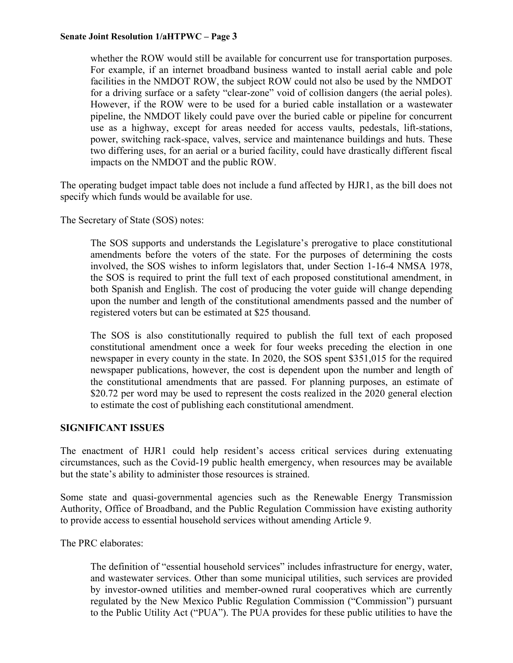#### **Senate Joint Resolution 1/aHTPWC – Page 3**

whether the ROW would still be available for concurrent use for transportation purposes. For example, if an internet broadband business wanted to install aerial cable and pole facilities in the NMDOT ROW, the subject ROW could not also be used by the NMDOT for a driving surface or a safety "clear-zone" void of collision dangers (the aerial poles). However, if the ROW were to be used for a buried cable installation or a wastewater pipeline, the NMDOT likely could pave over the buried cable or pipeline for concurrent use as a highway, except for areas needed for access vaults, pedestals, lift-stations, power, switching rack-space, valves, service and maintenance buildings and huts. These two differing uses, for an aerial or a buried facility, could have drastically different fiscal impacts on the NMDOT and the public ROW.

The operating budget impact table does not include a fund affected by HJR1, as the bill does not specify which funds would be available for use.

The Secretary of State (SOS) notes:

The SOS supports and understands the Legislature's prerogative to place constitutional amendments before the voters of the state. For the purposes of determining the costs involved, the SOS wishes to inform legislators that, under Section 1-16-4 NMSA 1978, the SOS is required to print the full text of each proposed constitutional amendment, in both Spanish and English. The cost of producing the voter guide will change depending upon the number and length of the constitutional amendments passed and the number of registered voters but can be estimated at \$25 thousand.

The SOS is also constitutionally required to publish the full text of each proposed constitutional amendment once a week for four weeks preceding the election in one newspaper in every county in the state. In 2020, the SOS spent \$351,015 for the required newspaper publications, however, the cost is dependent upon the number and length of the constitutional amendments that are passed. For planning purposes, an estimate of \$20.72 per word may be used to represent the costs realized in the 2020 general election to estimate the cost of publishing each constitutional amendment.

#### **SIGNIFICANT ISSUES**

The enactment of HJR1 could help resident's access critical services during extenuating circumstances, such as the Covid-19 public health emergency, when resources may be available but the state's ability to administer those resources is strained.

Some state and quasi-governmental agencies such as the Renewable Energy Transmission Authority, Office of Broadband, and the Public Regulation Commission have existing authority to provide access to essential household services without amending Article 9.

The PRC elaborates:

The definition of "essential household services" includes infrastructure for energy, water, and wastewater services. Other than some municipal utilities, such services are provided by investor-owned utilities and member-owned rural cooperatives which are currently regulated by the New Mexico Public Regulation Commission ("Commission") pursuant to the Public Utility Act ("PUA"). The PUA provides for these public utilities to have the